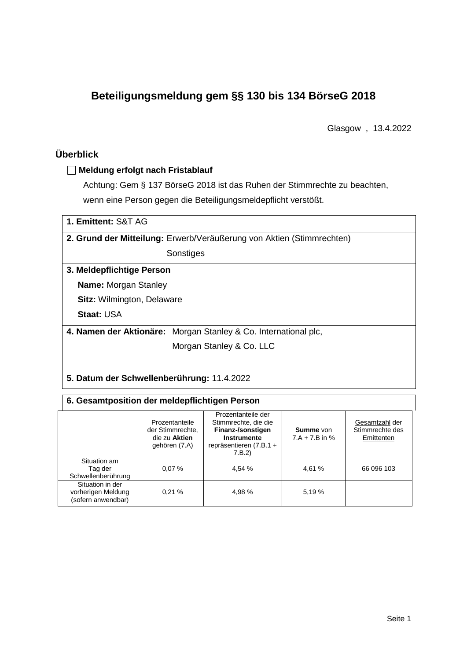# **Beteiligungsmeldung gem §§ 130 bis 134 BörseG 2018**

Glasgow , 13.4.2022

## **Überblick**

#### **Meldung erfolgt nach Fristablauf**

Achtung: Gem § 137 BörseG 2018 ist das Ruhen der Stimmrechte zu beachten, wenn eine Person gegen die Beteiligungsmeldepflicht verstößt.

| 1. Emittent: S&T AG                        |                                                                       |  |  |  |  |
|--------------------------------------------|-----------------------------------------------------------------------|--|--|--|--|
|                                            | 2. Grund der Mitteilung: Erwerb/Veräußerung von Aktien (Stimmrechten) |  |  |  |  |
|                                            | Sonstiges                                                             |  |  |  |  |
| 3. Meldepflichtige Person                  |                                                                       |  |  |  |  |
| <b>Name: Morgan Stanley</b>                |                                                                       |  |  |  |  |
| <b>Sitz: Wilmington, Delaware</b>          |                                                                       |  |  |  |  |
| <b>Staat: USA</b>                          |                                                                       |  |  |  |  |
|                                            | 4. Namen der Aktionäre: Morgan Stanley & Co. International plc,       |  |  |  |  |
|                                            | Morgan Stanley & Co. LLC                                              |  |  |  |  |
|                                            |                                                                       |  |  |  |  |
| 5. Datum der Schwellenberührung: 11.4.2022 |                                                                       |  |  |  |  |

| 6. Gesamtposition der meldepflichtigen Person                |                                                                      |                                                                                                                           |                                      |                                                 |  |  |  |
|--------------------------------------------------------------|----------------------------------------------------------------------|---------------------------------------------------------------------------------------------------------------------------|--------------------------------------|-------------------------------------------------|--|--|--|
|                                                              | Prozentanteile<br>der Stimmrechte.<br>die zu Aktien<br>gehören (7.A) | Prozentanteile der<br>Stimmrechte, die die<br>Finanz-/sonstigen<br><b>Instrumente</b><br>repräsentieren (7.B.1 +<br>7.B.2 | <b>Summe</b> von<br>$7.A + 7.B$ in % | Gesamtzahl der<br>Stimmrechte des<br>Emittenten |  |  |  |
| Situation am<br>Tag der<br>Schwellenberührung                | 0.07%                                                                | 4,54 %                                                                                                                    | 4.61 %                               | 66 096 103                                      |  |  |  |
| Situation in der<br>vorherigen Meldung<br>(sofern anwendbar) | 0.21%                                                                | 4,98 %                                                                                                                    | 5.19 %                               |                                                 |  |  |  |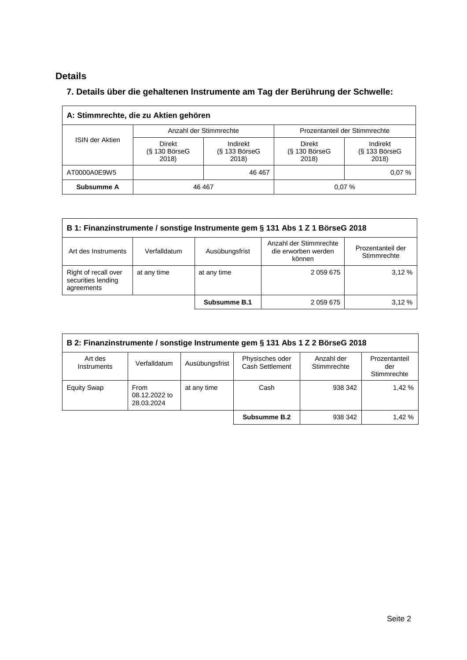## **Details**

### **7. Details über die gehaltenen Instrumente am Tag der Berührung der Schwelle:**

| A: Stimmrechte, die zu Aktien gehören |                                    |                                      |                                           |                                      |  |  |
|---------------------------------------|------------------------------------|--------------------------------------|-------------------------------------------|--------------------------------------|--|--|
|                                       |                                    | Anzahl der Stimmrechte               | Prozentanteil der Stimmrechte             |                                      |  |  |
| <b>ISIN der Aktien</b>                | Direkt<br>$(S$ 130 BörseG<br>2018) | Indirekt<br>$(S$ 133 BörseG<br>2018) | <b>Direkt</b><br>$(S$ 130 BörseG<br>2018) | Indirekt<br>$(S$ 133 BörseG<br>2018) |  |  |
| AT0000A0E9W5                          |                                    | 46 467                               |                                           | 0.07%                                |  |  |
| Subsumme A                            | 46 467                             |                                      |                                           | 0.07%                                |  |  |

| B 1: Finanzinstrumente / sonstige Instrumente gem § 131 Abs 1 Z 1 BörseG 2018                                                                        |             |              |             |       |  |
|------------------------------------------------------------------------------------------------------------------------------------------------------|-------------|--------------|-------------|-------|--|
| Anzahl der Stimmrechte<br>Prozentanteil der<br>die erworben werden<br>Ausübungsfrist<br>Verfalldatum<br>Art des Instruments<br>Stimmrechte<br>können |             |              |             |       |  |
| Right of recall over<br>securities lending<br>agreements                                                                                             | at any time | at any time  | 2 0 59 6 75 | 3.12% |  |
|                                                                                                                                                      |             | Subsumme B.1 | 2 059 675   | 3.12% |  |

| B 2: Finanzinstrumente / sonstige Instrumente gem § 131 Abs 1 Z 2 BörseG 2018 |                                     |                |                                    |                           |                                     |
|-------------------------------------------------------------------------------|-------------------------------------|----------------|------------------------------------|---------------------------|-------------------------------------|
| Art des<br><b>Instruments</b>                                                 | Verfalldatum                        | Ausübungsfrist | Physisches oder<br>Cash Settlement | Anzahl der<br>Stimmrechte | Prozentanteil<br>der<br>Stimmrechte |
| <b>Equity Swap</b>                                                            | From<br>08.12.2022 to<br>28.03.2024 | at any time    | Cash                               | 938 342                   | 1.42 %                              |
|                                                                               |                                     |                | Subsumme B.2                       | 938 342                   | 1,42 %                              |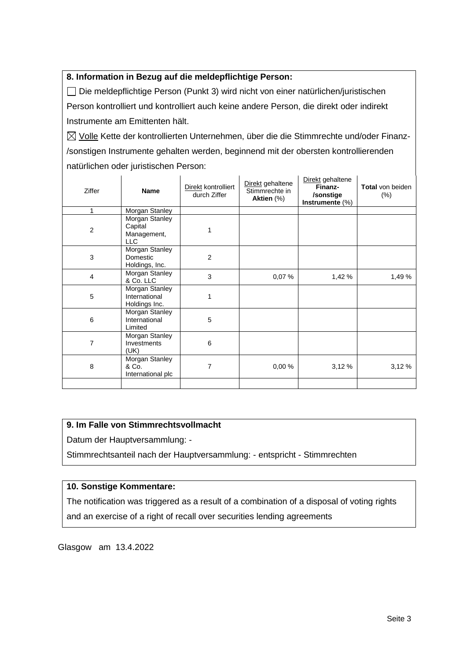#### **8. Information in Bezug auf die meldepflichtige Person:**

Die meldepflichtige Person (Punkt 3) wird nicht von einer natürlichen/juristischen Person kontrolliert und kontrolliert auch keine andere Person, die direkt oder indirekt Instrumente am Emittenten hält.

 $\boxtimes$  Volle Kette der kontrollierten Unternehmen, über die die Stimmrechte und/oder Finanz-/sonstigen Instrumente gehalten werden, beginnend mit der obersten kontrollierenden natürlichen oder juristischen Person:

| Ziffer         | <b>Name</b>                                            | Direkt kontrolliert<br>durch Ziffer | Direkt gehaltene<br>Stimmrechte in<br>Aktien (%) | Direkt gehaltene<br>Finanz-<br>/sonstige<br>Instrumente (%) | <b>Total</b> von beiden<br>$(\% )$ |
|----------------|--------------------------------------------------------|-------------------------------------|--------------------------------------------------|-------------------------------------------------------------|------------------------------------|
| 1              | Morgan Stanley                                         |                                     |                                                  |                                                             |                                    |
| $\overline{c}$ | Morgan Stanley<br>Capital<br>Management,<br><b>LLC</b> |                                     |                                                  |                                                             |                                    |
| 3              | Morgan Stanley<br>Domestic<br>Holdings, Inc.           | $\overline{2}$                      |                                                  |                                                             |                                    |
| $\overline{4}$ | Morgan Stanley<br>& Co. LLC                            | 3                                   | 0,07%                                            | 1,42 %                                                      | 1,49 %                             |
| 5              | Morgan Stanley<br>International<br>Holdings Inc.       | 1                                   |                                                  |                                                             |                                    |
| 6              | Morgan Stanley<br>International<br>Limited             | 5                                   |                                                  |                                                             |                                    |
| 7              | Morgan Stanley<br>Investments<br>(UK)                  | 6                                   |                                                  |                                                             |                                    |
| 8              | Morgan Stanley<br>& Co.<br>International plc           | 7                                   | 0,00%                                            | 3,12%                                                       | 3,12%                              |
|                |                                                        |                                     |                                                  |                                                             |                                    |

#### **9. Im Falle von Stimmrechtsvollmacht**

Datum der Hauptversammlung: -

Stimmrechtsanteil nach der Hauptversammlung: - entspricht - Stimmrechten

#### **10. Sonstige Kommentare:**

The notification was triggered as a result of a combination of a disposal of voting rights and an exercise of a right of recall over securities lending agreements

Glasgow am 13.4.2022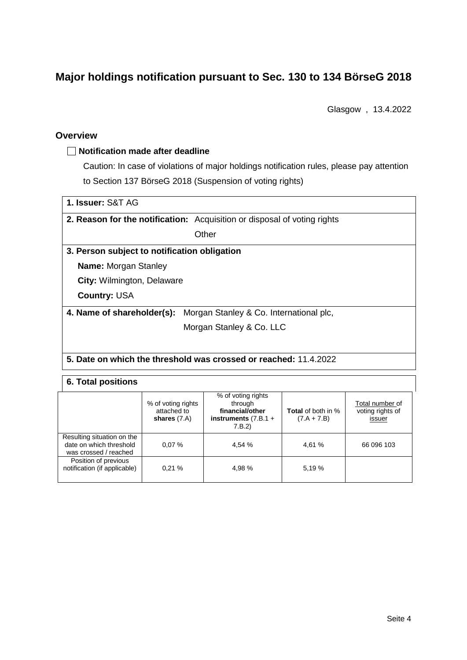# **Major holdings notification pursuant to Sec. 130 to 134 BörseG 2018**

Glasgow , 13.4.2022

#### **Overview**

#### **Notification made after deadline**

Caution: In case of violations of major holdings notification rules, please pay attention to Section 137 BörseG 2018 (Suspension of voting rights)

| 1. Issuer: S&T AG                            |                                                                                 |
|----------------------------------------------|---------------------------------------------------------------------------------|
|                                              | <b>2. Reason for the notification:</b> Acquisition or disposal of voting rights |
|                                              | Other                                                                           |
| 3. Person subject to notification obligation |                                                                                 |
| <b>Name:</b> Morgan Stanley                  |                                                                                 |
| City: Wilmington, Delaware                   |                                                                                 |
| <b>Country: USA</b>                          |                                                                                 |
| 4. Name of shareholder(s):                   | Morgan Stanley & Co. International plc,                                         |
|                                              | Morgan Stanley & Co. LLC                                                        |
|                                              |                                                                                 |
|                                              | Beter and uldeby the those beddenes and as a state of a study of AA ACCO.       |

#### **5. Date on which the threshold was crossed or reached:** 11.4.2022

#### **6. Total positions**

|                                                                                | % of voting rights<br>attached to<br>shares $(7.A)$ | % of voting rights<br>through<br>financial/other<br>instruments $(7.B.1 +$<br>7.B.2) | <b>Total</b> of both in %<br>$(7.A + 7.B)$ | Total number of<br>voting rights of<br>issuer |
|--------------------------------------------------------------------------------|-----------------------------------------------------|--------------------------------------------------------------------------------------|--------------------------------------------|-----------------------------------------------|
| Resulting situation on the<br>date on which threshold<br>was crossed / reached | 0.07%                                               | 4,54 %                                                                               | 4,61 %                                     | 66 096 103                                    |
| Position of previous<br>notification (if applicable)                           | 0.21%                                               | 4,98 %                                                                               | 5.19 %                                     |                                               |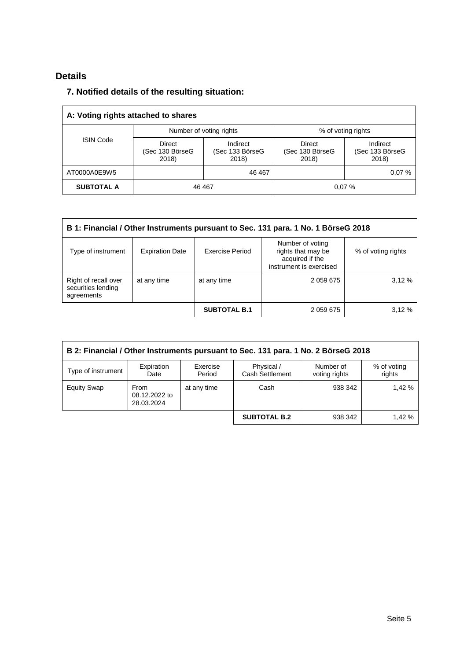## **Details**

### **7. Notified details of the resulting situation:**

| A: Voting rights attached to shares |                                           |                                      |                                    |                                      |  |
|-------------------------------------|-------------------------------------------|--------------------------------------|------------------------------------|--------------------------------------|--|
|                                     |                                           | Number of voting rights              | % of voting rights                 |                                      |  |
| <b>ISIN Code</b>                    | <b>Direct</b><br>(Sec 130 BörseG<br>2018) | Indirect<br>(Sec 133 BörseG<br>2018) | Direct<br>(Sec 130 BörseG<br>2018) | Indirect<br>(Sec 133 BörseG<br>2018) |  |
| AT0000A0E9W5                        |                                           | 46 467                               |                                    | 0.07%                                |  |
| <b>SUBTOTAL A</b>                   | 46 467                                    |                                      |                                    | 0.07%                                |  |

| B 1: Financial / Other Instruments pursuant to Sec. 131 para. 1 No. 1 BörseG 2018 |                        |                     |                                                                                      |                    |  |
|-----------------------------------------------------------------------------------|------------------------|---------------------|--------------------------------------------------------------------------------------|--------------------|--|
| Type of instrument                                                                | <b>Expiration Date</b> | Exercise Period     | Number of voting<br>rights that may be<br>acquired if the<br>instrument is exercised | % of voting rights |  |
| Right of recall over<br>securities lending<br>agreements                          | at any time            | at any time         | 2 059 675                                                                            | 3.12%              |  |
|                                                                                   |                        | <b>SUBTOTAL B.1</b> | 2 059 675                                                                            | 3.12%              |  |

| B 2: Financial / Other Instruments pursuant to Sec. 131 para. 1 No. 2 BörseG 2018                                                                      |                                            |             |                     |         |        |  |
|--------------------------------------------------------------------------------------------------------------------------------------------------------|--------------------------------------------|-------------|---------------------|---------|--------|--|
| Exercise<br>Physical /<br>Expiration<br>Number of<br>% of voting<br>Type of instrument<br>Cash Settlement<br>Period<br>rights<br>voting rights<br>Date |                                            |             |                     |         |        |  |
| <b>Equity Swap</b>                                                                                                                                     | <b>From</b><br>08.12.2022 to<br>28.03.2024 | at any time | Cash                | 938 342 | 1.42%  |  |
|                                                                                                                                                        |                                            |             | <b>SUBTOTAL B.2</b> | 938 342 | 1,42 % |  |